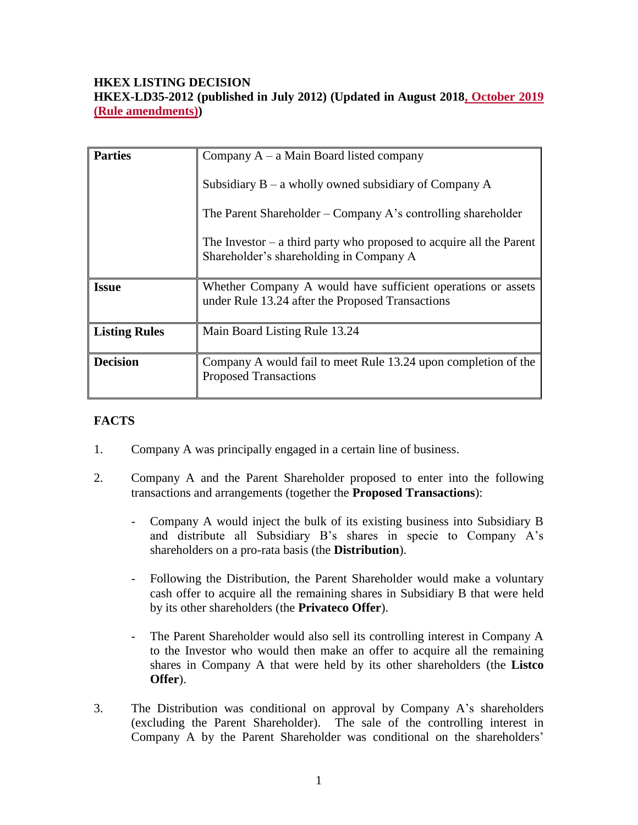# **HKEX LISTING DECISION HKEX-LD35-2012 (published in July 2012) (Updated in August 2018, October 2019 (Rule amendments))**

| <b>Parties</b>       | Company $A - a$ Main Board listed company                                                                        |
|----------------------|------------------------------------------------------------------------------------------------------------------|
|                      | Subsidiary $B - a$ wholly owned subsidiary of Company A                                                          |
|                      | The Parent Shareholder – Company A's controlling shareholder                                                     |
|                      | The Investor $-$ a third party who proposed to acquire all the Parent<br>Shareholder's shareholding in Company A |
| <b>Issue</b>         | Whether Company A would have sufficient operations or assets<br>under Rule 13.24 after the Proposed Transactions |
| <b>Listing Rules</b> | Main Board Listing Rule 13.24                                                                                    |
| <b>Decision</b>      | Company A would fail to meet Rule 13.24 upon completion of the<br><b>Proposed Transactions</b>                   |

# **FACTS**

- 1. Company A was principally engaged in a certain line of business.
- 2. Company A and the Parent Shareholder proposed to enter into the following transactions and arrangements (together the **Proposed Transactions**):
	- Company A would inject the bulk of its existing business into Subsidiary B and distribute all Subsidiary B's shares in specie to Company A's shareholders on a pro-rata basis (the **Distribution**).
	- Following the Distribution, the Parent Shareholder would make a voluntary cash offer to acquire all the remaining shares in Subsidiary B that were held by its other shareholders (the **Privateco Offer**).
	- The Parent Shareholder would also sell its controlling interest in Company A to the Investor who would then make an offer to acquire all the remaining shares in Company A that were held by its other shareholders (the **Listco Offer**).
- 3. The Distribution was conditional on approval by Company A's shareholders (excluding the Parent Shareholder). The sale of the controlling interest in Company A by the Parent Shareholder was conditional on the shareholders'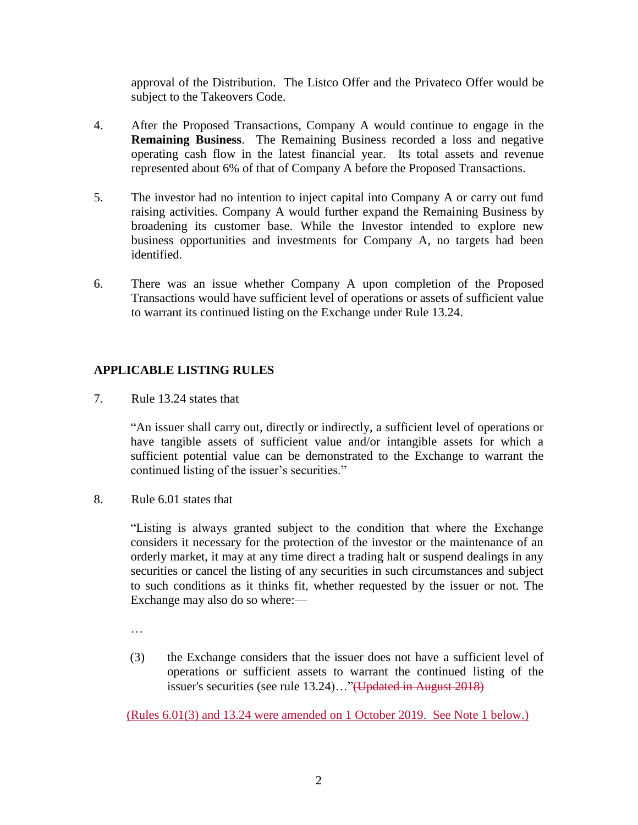approval of the Distribution. The Listco Offer and the Privateco Offer would be subject to the Takeovers Code.

- 4. After the Proposed Transactions, Company A would continue to engage in the **Remaining Business**. The Remaining Business recorded a loss and negative operating cash flow in the latest financial year. Its total assets and revenue represented about 6% of that of Company A before the Proposed Transactions.
- 5. The investor had no intention to inject capital into Company A or carry out fund raising activities. Company A would further expand the Remaining Business by broadening its customer base. While the Investor intended to explore new business opportunities and investments for Company A, no targets had been identified.
- 6. There was an issue whether Company A upon completion of the Proposed Transactions would have sufficient level of operations or assets of sufficient value to warrant its continued listing on the Exchange under Rule 13.24.

# **APPLICABLE LISTING RULES**

7. Rule 13.24 states that

"An issuer shall carry out, directly or indirectly, a sufficient level of operations or have tangible assets of sufficient value and/or intangible assets for which a sufficient potential value can be demonstrated to the Exchange to warrant the continued listing of the issuer's securities."

8. Rule 6.01 states that

"Listing is always granted subject to the condition that where the Exchange considers it necessary for the protection of the investor or the maintenance of an orderly market, it may at any time direct a trading halt or suspend dealings in any securities or cancel the listing of any securities in such circumstances and subject to such conditions as it thinks fit, whether requested by the issuer or not. The Exchange may also do so where:—

- …
- (3) the Exchange considers that the issuer does not have a sufficient level of operations or sufficient assets to warrant the continued listing of the issuer's securities (see [rule 13.24\)](http://en-rules.hkex.com.hk/en/display/display.html?rbid=4476&element_id=2518)…"(Updated in August 2018)

(Rules 6.01(3) and 13.24 were amended on 1 October 2019. See Note 1 below.)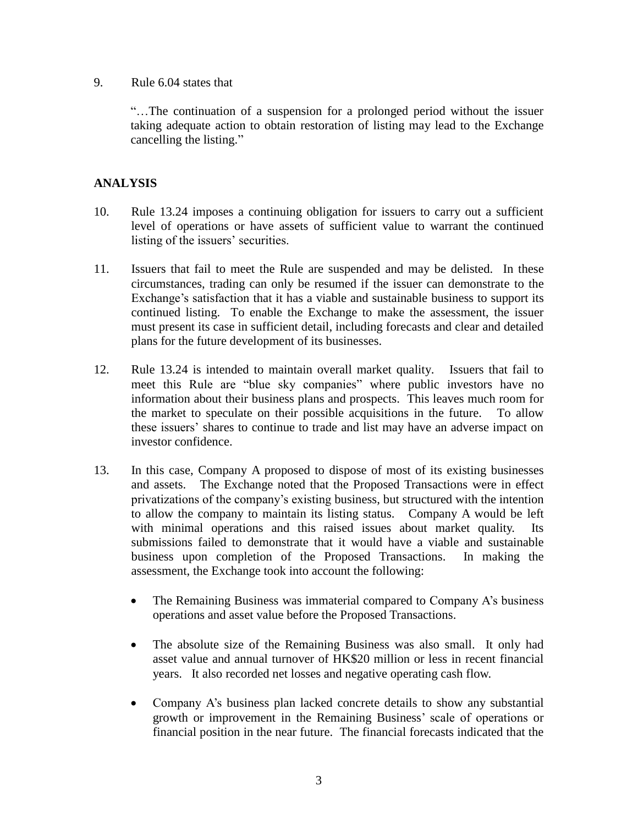#### 9. Rule 6.04 states that

"…The continuation of a suspension for a prolonged period without the issuer taking adequate action to obtain restoration of listing may lead to the Exchange cancelling the listing."

# **ANALYSIS**

- 10. Rule 13.24 imposes a continuing obligation for issuers to carry out a sufficient level of operations or have assets of sufficient value to warrant the continued listing of the issuers' securities.
- 11. Issuers that fail to meet the Rule are suspended and may be delisted. In these circumstances, trading can only be resumed if the issuer can demonstrate to the Exchange's satisfaction that it has a viable and sustainable business to support its continued listing. To enable the Exchange to make the assessment, the issuer must present its case in sufficient detail, including forecasts and clear and detailed plans for the future development of its businesses.
- 12. Rule 13.24 is intended to maintain overall market quality. Issuers that fail to meet this Rule are "blue sky companies" where public investors have no information about their business plans and prospects. This leaves much room for the market to speculate on their possible acquisitions in the future. To allow these issuers' shares to continue to trade and list may have an adverse impact on investor confidence.
- 13. In this case, Company A proposed to dispose of most of its existing businesses and assets. The Exchange noted that the Proposed Transactions were in effect privatizations of the company's existing business, but structured with the intention to allow the company to maintain its listing status. Company A would be left with minimal operations and this raised issues about market quality. Its submissions failed to demonstrate that it would have a viable and sustainable business upon completion of the Proposed Transactions. In making the assessment, the Exchange took into account the following:
	- The Remaining Business was immaterial compared to Company A's business operations and asset value before the Proposed Transactions.
	- The absolute size of the Remaining Business was also small. It only had asset value and annual turnover of HK\$20 million or less in recent financial years. It also recorded net losses and negative operating cash flow.
	- Company A's business plan lacked concrete details to show any substantial growth or improvement in the Remaining Business' scale of operations or financial position in the near future. The financial forecasts indicated that the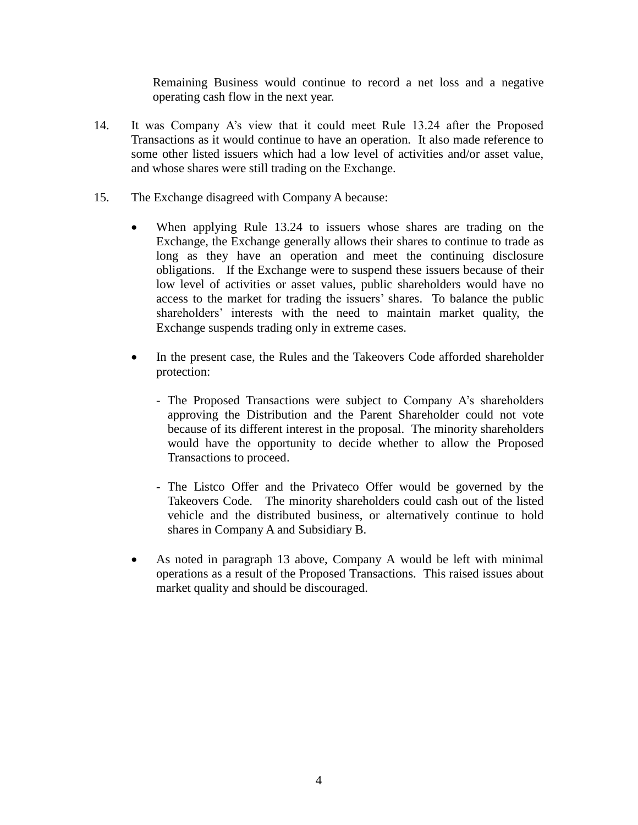Remaining Business would continue to record a net loss and a negative operating cash flow in the next year.

- 14. It was Company A's view that it could meet Rule 13.24 after the Proposed Transactions as it would continue to have an operation. It also made reference to some other listed issuers which had a low level of activities and/or asset value, and whose shares were still trading on the Exchange.
- 15. The Exchange disagreed with Company A because:
	- When applying Rule 13.24 to issuers whose shares are trading on the Exchange, the Exchange generally allows their shares to continue to trade as long as they have an operation and meet the continuing disclosure obligations. If the Exchange were to suspend these issuers because of their low level of activities or asset values, public shareholders would have no access to the market for trading the issuers' shares. To balance the public shareholders' interests with the need to maintain market quality, the Exchange suspends trading only in extreme cases.
	- In the present case, the Rules and the Takeovers Code afforded shareholder protection:
		- The Proposed Transactions were subject to Company A's shareholders approving the Distribution and the Parent Shareholder could not vote because of its different interest in the proposal. The minority shareholders would have the opportunity to decide whether to allow the Proposed Transactions to proceed.
		- The Listco Offer and the Privateco Offer would be governed by the Takeovers Code. The minority shareholders could cash out of the listed vehicle and the distributed business, or alternatively continue to hold shares in Company A and Subsidiary B.
	- As noted in paragraph 13 above, Company A would be left with minimal operations as a result of the Proposed Transactions. This raised issues about market quality and should be discouraged.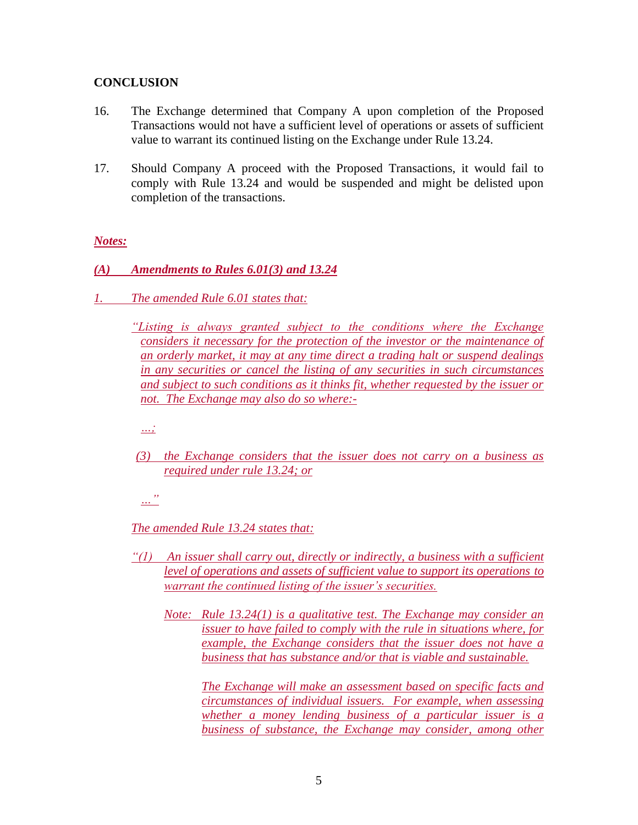## **CONCLUSION**

- 16. The Exchange determined that Company A upon completion of the Proposed Transactions would not have a sufficient level of operations or assets of sufficient value to warrant its continued listing on the Exchange under Rule 13.24.
- 17. Should Company A proceed with the Proposed Transactions, it would fail to comply with Rule 13.24 and would be suspended and might be delisted upon completion of the transactions.

## *Notes:*

- *(A) Amendments to Rules 6.01(3) and 13.24*
- *1. The amended Rule 6.01 states that:*

*"Listing is always granted subject to the conditions where the Exchange considers it necessary for the protection of the investor or the maintenance of an orderly market, it may at any time direct a trading halt or suspend dealings in any securities or cancel the listing of any securities in such circumstances and subject to such conditions as it thinks fit, whether requested by the issuer or not. The Exchange may also do so where:-*

*…;* 

*(3) the Exchange considers that the issuer does not carry on a business as required under rule 13.24; or*

*…"*

*The amended Rule 13.24 states that:*

- *"(1) An issuer shall carry out, directly or indirectly, a business with a sufficient level of operations and assets of sufficient value to support its operations to warrant the continued listing of the issuer's securities.*
	- *Note: Rule 13.24(1) is a qualitative test. The Exchange may consider an issuer to have failed to comply with the rule in situations where, for example, the Exchange considers that the issuer does not have a business that has substance and/or that is viable and sustainable.*

*The Exchange will make an assessment based on specific facts and circumstances of individual issuers. For example, when assessing whether a money lending business of a particular issuer is a business of substance, the Exchange may consider, among other*